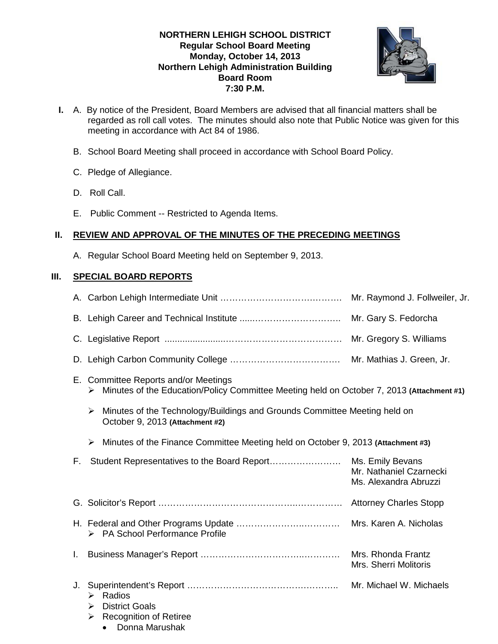# **NORTHERN LEHIGH SCHOOL DISTRICT Regular School Board Meeting Monday, October 14, 2013 Northern Lehigh Administration Building Board Room 7:30 P.M.**



- **I.** A. By notice of the President, Board Members are advised that all financial matters shall be regarded as roll call votes. The minutes should also note that Public Notice was given for this meeting in accordance with Act 84 of 1986.
	- B. School Board Meeting shall proceed in accordance with School Board Policy.
	- C. Pledge of Allegiance.
	- D. Roll Call.
	- E. Public Comment -- Restricted to Agenda Items.

# **II. REVIEW AND APPROVAL OF THE MINUTES OF THE PRECEDING MEETINGS**

A. Regular School Board Meeting held on September 9, 2013.

# **III. SPECIAL BOARD REPORTS**

|    |                                                                                                                                        | Mr. Raymond J. Follweiler, Jr.                                       |
|----|----------------------------------------------------------------------------------------------------------------------------------------|----------------------------------------------------------------------|
|    |                                                                                                                                        | Mr. Gary S. Fedorcha                                                 |
|    |                                                                                                                                        | Mr. Gregory S. Williams                                              |
|    |                                                                                                                                        |                                                                      |
|    | E. Committee Reports and/or Meetings<br>Minutes of the Education/Policy Committee Meeting held on October 7, 2013 (Attachment #1)<br>➤ |                                                                      |
|    | Minutes of the Technology/Buildings and Grounds Committee Meeting held on<br>➤<br>October 9, 2013 (Attachment #2)                      |                                                                      |
|    | Minutes of the Finance Committee Meeting held on October 9, 2013 (Attachment #3)<br>$\blacktriangleright$                              |                                                                      |
| F. |                                                                                                                                        | Ms. Emily Bevans<br>Mr. Nathaniel Czarnecki<br>Ms. Alexandra Abruzzi |
|    |                                                                                                                                        |                                                                      |
|    | > PA School Performance Profile                                                                                                        | Mrs. Karen A. Nicholas                                               |
| L. |                                                                                                                                        | Mrs. Rhonda Frantz<br>Mrs. Sherri Molitoris                          |
| J. | $\triangleright$ Radios<br><b>District Goals</b><br>➤<br><b>Recognition of Retiree</b><br>➤<br>Donna Marushak<br>$\bullet$             |                                                                      |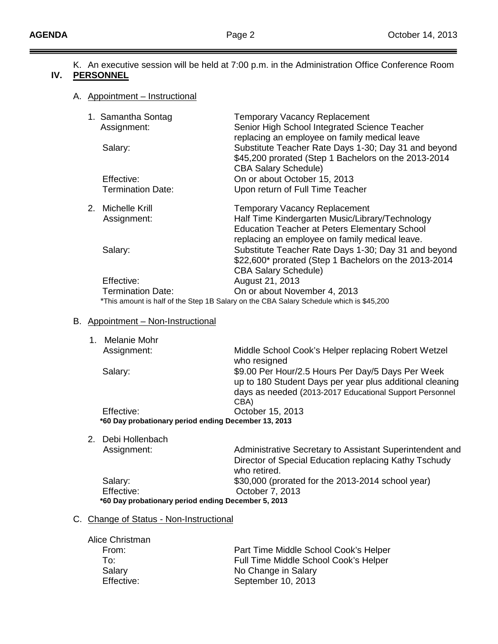$=$ 

K. An executive session will be held at 7:00 p.m. in the Administration Office Conference Room

# **IV. PERSONNEL**

#### A. Appointment – Instructional

| 1. Samantha Sontag<br>Assignment:                                                       | <b>Temporary Vacancy Replacement</b><br>Senior High School Integrated Science Teacher<br>replacing an employee on family medical leave      |  |
|-----------------------------------------------------------------------------------------|---------------------------------------------------------------------------------------------------------------------------------------------|--|
| Salary:                                                                                 | Substitute Teacher Rate Days 1-30; Day 31 and beyond<br>\$45,200 prorated (Step 1 Bachelors on the 2013-2014<br><b>CBA Salary Schedule)</b> |  |
| Effective:                                                                              | On or about October 15, 2013                                                                                                                |  |
| <b>Termination Date:</b>                                                                | Upon return of Full Time Teacher                                                                                                            |  |
| 2. Michelle Krill                                                                       | <b>Temporary Vacancy Replacement</b>                                                                                                        |  |
| Assignment:                                                                             | Half Time Kindergarten Music/Library/Technology                                                                                             |  |
|                                                                                         | <b>Education Teacher at Peters Elementary School</b>                                                                                        |  |
|                                                                                         | replacing an employee on family medical leave.                                                                                              |  |
| Salary:                                                                                 | Substitute Teacher Rate Days 1-30; Day 31 and beyond                                                                                        |  |
|                                                                                         | \$22,600* prorated (Step 1 Bachelors on the 2013-2014                                                                                       |  |
|                                                                                         | <b>CBA Salary Schedule)</b>                                                                                                                 |  |
| Effective:                                                                              | August 21, 2013                                                                                                                             |  |
| Termination Date:                                                                       | On or about November 4, 2013                                                                                                                |  |
| *This amount is half of the Step 1B Salary on the CBA Salary Schedule which is \$45,200 |                                                                                                                                             |  |

# B. Appointment – Non-Instructional

| Melanie Mohr                                         |                                                          |  |
|------------------------------------------------------|----------------------------------------------------------|--|
| Assignment:                                          | Middle School Cook's Helper replacing Robert Wetzel      |  |
|                                                      | who resigned                                             |  |
| Salary:                                              | \$9.00 Per Hour/2.5 Hours Per Day/5 Days Per Week        |  |
|                                                      | up to 180 Student Days per year plus additional cleaning |  |
|                                                      | days as needed (2013-2017 Educational Support Personnel  |  |
|                                                      | CBA)                                                     |  |
| Effective:                                           | October 15, 2013                                         |  |
| *60 Day probationary period ending December 13, 2013 |                                                          |  |

2. Debi Hollenbach

| Assignment: | Administrative Secretary to Assistant Superintendent and |
|-------------|----------------------------------------------------------|
|             | Director of Special Education replacing Kathy Tschudy    |
|             | who retired.                                             |
| Salary:     | \$30,000 (prorated for the 2013-2014 school year)        |
| Effective:  | October 7, 2013                                          |
|             | *60 Day probationary period ending December 5, 2013      |

# C. Change of Status - Non-Instructional

| Alice Christman |                                       |
|-----------------|---------------------------------------|
| From:           | Part Time Middle School Cook's Helper |
| To∹             | Full Time Middle School Cook's Helper |
| Salary          | No Change in Salary                   |
| Effective:      | September 10, 2013                    |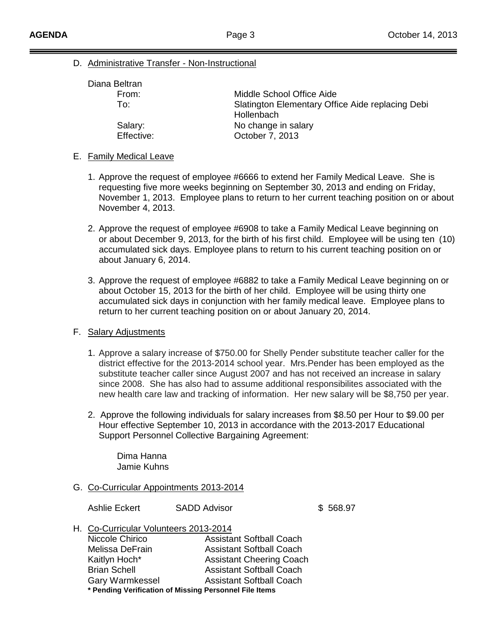D. Administrative Transfer - Non-Instructional

| Diana Beltran |                                                                |
|---------------|----------------------------------------------------------------|
| From:         | Middle School Office Aide                                      |
| To∵           | Slatington Elementary Office Aide replacing Debi<br>Hollenbach |
| Salary:       | No change in salary                                            |
| Effective:    | October 7, 2013                                                |
|               |                                                                |

#### E. Family Medical Leave

- 1. Approve the request of employee #6666 to extend her Family Medical Leave. She is requesting five more weeks beginning on September 30, 2013 and ending on Friday, November 1, 2013. Employee plans to return to her current teaching position on or about November 4, 2013.
- 2. Approve the request of employee #6908 to take a Family Medical Leave beginning on or about December 9, 2013, for the birth of his first child. Employee will be using ten (10) accumulated sick days. Employee plans to return to his current teaching position on or about January 6, 2014.
- 3. Approve the request of employee #6882 to take a Family Medical Leave beginning on or about October 15, 2013 for the birth of her child. Employee will be using thirty one accumulated sick days in conjunction with her family medical leave. Employee plans to return to her current teaching position on or about January 20, 2014.

## F. Salary Adjustments

- 1. Approve a salary increase of \$750.00 for Shelly Pender substitute teacher caller for the district effective for the 2013-2014 school year. Mrs.Pender has been employed as the substitute teacher caller since August 2007 and has not received an increase in salary since 2008. She has also had to assume additional responsibilites associated with the new health care law and tracking of information. Her new salary will be \$8,750 per year.
- 2. Approve the following individuals for salary increases from \$8.50 per Hour to \$9.00 per Hour effective September 10, 2013 in accordance with the 2013-2017 Educational Support Personnel Collective Bargaining Agreement:

Dima Hanna Jamie Kuhns

G. Co-Curricular Appointments 2013-2014

Ashlie Eckert SADD Advisor **\$ 568.97** 

H. Co-Curricular Volunteers 2013-2014

| Niccole Chirico                                        | <b>Assistant Softball Coach</b> |
|--------------------------------------------------------|---------------------------------|
| Melissa DeFrain                                        | <b>Assistant Softball Coach</b> |
| Kaitlyn Hoch*                                          | <b>Assistant Cheering Coach</b> |
| <b>Brian Schell</b>                                    | <b>Assistant Softball Coach</b> |
| Gary Warmkessel                                        | <b>Assistant Softball Coach</b> |
| * Pending Verification of Missing Personnel File Items |                                 |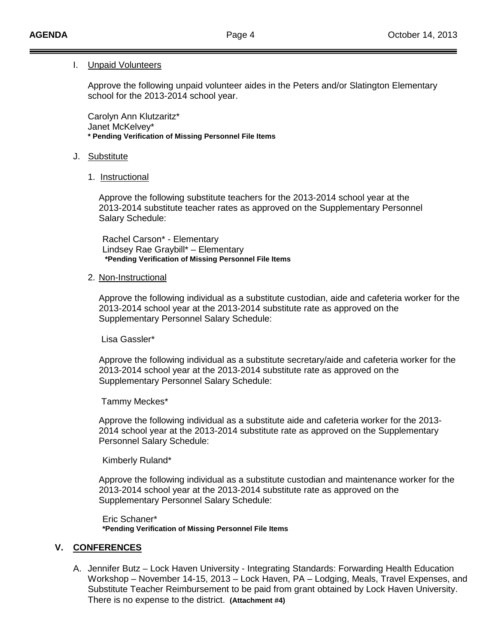#### I. Unpaid Volunteers

Approve the following unpaid volunteer aides in the Peters and/or Slatington Elementary school for the 2013-2014 school year.

Carolyn Ann Klutzaritz\* Janet McKelvey\* **\* Pending Verification of Missing Personnel File Items**

#### J. Substitute

1. Instructional

Approve the following substitute teachers for the 2013-2014 school year at the 2013-2014 substitute teacher rates as approved on the Supplementary Personnel Salary Schedule:

Rachel Carson\* - Elementary Lindsey Rae Graybill\* – Elementary **\*Pending Verification of Missing Personnel File Items**

#### 2. Non-Instructional

Approve the following individual as a substitute custodian, aide and cafeteria worker for the 2013-2014 school year at the 2013-2014 substitute rate as approved on the Supplementary Personnel Salary Schedule:

Lisa Gassler\*

Approve the following individual as a substitute secretary/aide and cafeteria worker for the 2013-2014 school year at the 2013-2014 substitute rate as approved on the Supplementary Personnel Salary Schedule:

Tammy Meckes\*

Approve the following individual as a substitute aide and cafeteria worker for the 2013- 2014 school year at the 2013-2014 substitute rate as approved on the Supplementary Personnel Salary Schedule:

Kimberly Ruland\*

Approve the following individual as a substitute custodian and maintenance worker for the 2013-2014 school year at the 2013-2014 substitute rate as approved on the Supplementary Personnel Salary Schedule:

Eric Schaner\* **\*Pending Verification of Missing Personnel File Items**

## **V. CONFERENCES**

A. Jennifer Butz – Lock Haven University - Integrating Standards: Forwarding Health Education Workshop – November 14-15, 2013 – Lock Haven, PA – Lodging, Meals, Travel Expenses, and Substitute Teacher Reimbursement to be paid from grant obtained by Lock Haven University. There is no expense to the district. **(Attachment #4)**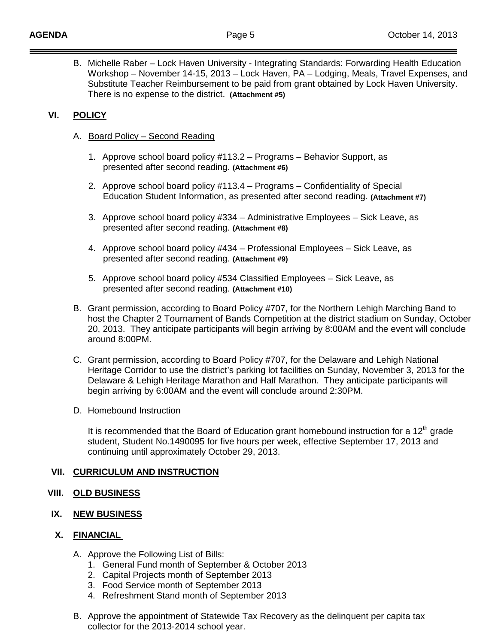B. Michelle Raber – Lock Haven University - Integrating Standards: Forwarding Health Education Workshop – November 14-15, 2013 – Lock Haven, PA – Lodging, Meals, Travel Expenses, and Substitute Teacher Reimbursement to be paid from grant obtained by Lock Haven University. There is no expense to the district. **(Attachment #5)**

# **VI. POLICY**

- A. Board Policy Second Reading
	- 1. Approve school board policy #113.2 Programs Behavior Support, as presented after second reading. **(Attachment #6)**
	- 2. Approve school board policy #113.4 Programs Confidentiality of Special Education Student Information, as presented after second reading. **(Attachment #7)**
	- 3. Approve school board policy #334 Administrative Employees Sick Leave, as presented after second reading. **(Attachment #8)**
	- 4. Approve school board policy #434 Professional Employees Sick Leave, as presented after second reading. **(Attachment #9)**
	- 5. Approve school board policy #534 Classified Employees Sick Leave, as presented after second reading. **(Attachment #10)**
- B. Grant permission, according to Board Policy #707, for the Northern Lehigh Marching Band to host the Chapter 2 Tournament of Bands Competition at the district stadium on Sunday, October 20, 2013. They anticipate participants will begin arriving by 8:00AM and the event will conclude around 8:00PM.
- C. Grant permission, according to Board Policy #707, for the Delaware and Lehigh National Heritage Corridor to use the district's parking lot facilities on Sunday, November 3, 2013 for the Delaware & Lehigh Heritage Marathon and Half Marathon. They anticipate participants will begin arriving by 6:00AM and the event will conclude around 2:30PM.
- D. Homebound Instruction

It is recommended that the Board of Education grant homebound instruction for a 12<sup>th</sup> grade student, Student No.1490095 for five hours per week, effective September 17, 2013 and continuing until approximately October 29, 2013.

## **VII. CURRICULUM AND INSTRUCTION**

- **VIII. OLD BUSINESS**
- **IX. NEW BUSINESS**

## **X. FINANCIAL**

- A. Approve the Following List of Bills:
	- 1. General Fund month of September & October 2013
	- 2. Capital Projects month of September 2013
	- 3. Food Service month of September 2013
	- 4. Refreshment Stand month of September 2013
- B. Approve the appointment of Statewide Tax Recovery as the delinquent per capita tax collector for the 2013-2014 school year.